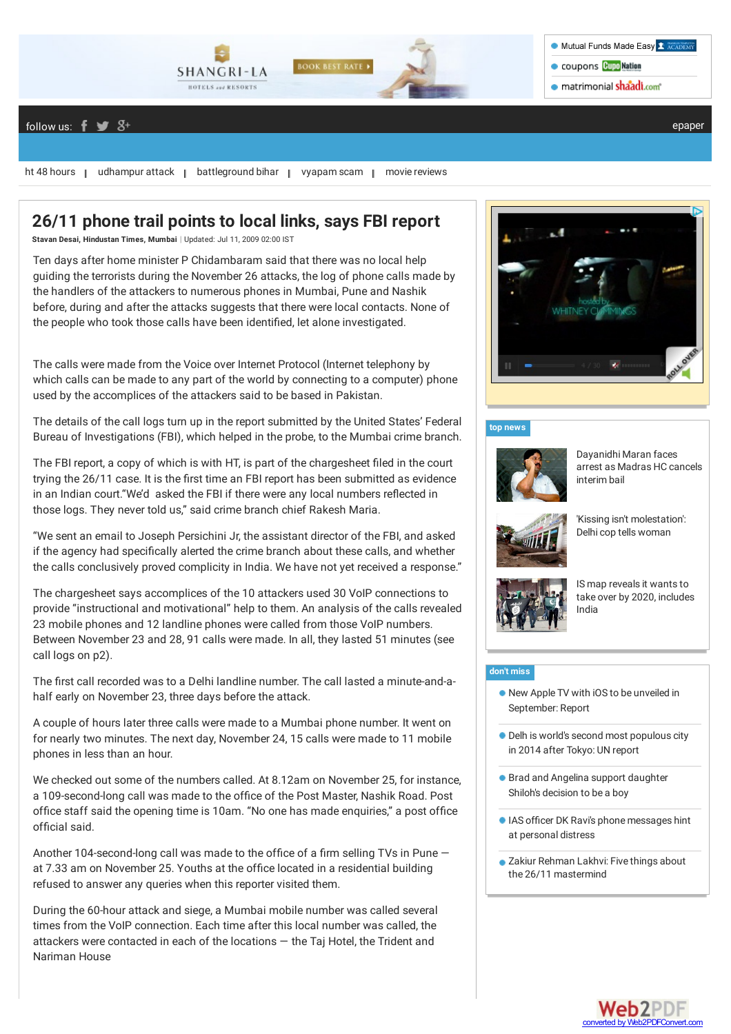

### follow us:  $f \circledast S^+$

ht 48 [hours](http://www.hindustantimes.com/lifestyle/ht48hours/spl3-lid.aspx) | [udhampur](http://www.hindustantimes.com/india-news/udhampur-attack/spl3-lid.aspx) attack | [battleground](http://www.hindustantimes.com/india-news/Bihar-Elections/spl3-lid.aspx) bihar | [vyapam](http://www.hindustantimes.com/india-news/vyapam-scam/spl3-lid.aspx) scam | movie [reviews](http://www.hindustantimes.com/movie-reviews/)

## **26/11 phone trail points to local links, says FBI report**

**Stavan Desai, [Hindustan](http://www.hindustantimes.com/Search/Search.aspx?op=story&pt=all&auth=Hindustan Times) Times, Mumbai** | Updated: Jul 11, 2009 02:00 IST

Ten days after home minister P Chidambaram said that there was no local help guiding the terrorists during the November 26 attacks, the log of phone calls made by the handlers of the attackers to numerous phones in Mumbai, Pune and Nashik before, during and after the attacks suggests that there were local contacts. None of the people who took those calls have been identified, let alone investigated.

The calls were made from the Voice over Internet Protocol (Internet telephony by which calls can be made to any part of the world by connecting to a computer) phone used by the accomplices of the attackers said to be based in Pakistan.

The details of the call logs turn up in the report submitted by the United States' Federal Bureau of Investigations (FBI), which helped in the probe, to the Mumbai crime branch.

The FBI report, a copy of which is with HT, is part of the chargesheet filed in the court trying the 26/11 case. It is the first time an FBI report has been submitted as evidence in an Indian court."We'd asked the FBI if there were any local numbers reflected in those logs. They never told us," said crime branch chief Rakesh Maria.

"We sent an email to Joseph Persichini Jr, the assistant director of the FBI, and asked if the agency had specifically alerted the crime branch about these calls, and whether the calls conclusively proved complicity in India. We have not yet received a response."

The chargesheet says accomplices of the 10 attackers used 30 VoIP connections to provide "instructional and motivational" help to them. An analysis of the calls revealed 23 mobile phones and 12 landline phones were called from those VoIP numbers. Between November 23 and 28, 91 calls were made. In all, they lasted 51 minutes (see call logs on p2).

The first call recorded was to a Delhi landline number. The call lasted a minute-and-ahalf early on November 23, three days before the attack.

A couple of hours later three calls were made to a Mumbai phone number. It went on for nearly two minutes. The next day, November 24, 15 calls were made to 11 mobile phones in less than an hour.

We checked out some of the numbers called. At 8.12am on November 25, for instance, a 109-second-long call was made to the office of the Post Master, Nashik Road. Post office staff said the opening time is 10am. "No one has made enquiries," a post office official said.

Another 104-second-long call was made to the office of a firm selling TVs in Pune  $$ at 7.33 am on November 25. Youths at the office located in a residential building refused to answer any queries when this reporter visited them.

During the 60-hour attack and siege, a Mumbai mobile number was called several times from the VoIP connection. Each time after this local number was called, the attackers were contacted in each of the locations — the Taj Hotel, the Trident and Nariman House



### **top [news](http://www.hindustantimes.com/homepage/homepage-topstories/lid.aspx)**



[Dayanidhi](http://www.hindustantimes.com/india-news/dayanidhi-maran-faces-arrest-after-madras-hc-cancels-interim-bail/article1-1378552.aspx) Maran faces arrest as Madras HC cancels interim bail



'Kissing isn't [molestation':](http://www.hindustantimes.com/india-news/kissing-is-not-molestation-cop-allegedly-tells-delhi-woman/article1-1378571.aspx) Delhi cop tells woman



IS map reveals it wants to take over by 2020, [includes](http://www.hindustantimes.com/world-news/is-map-reveals-it-wants-to-take-over-by-2020-includes-india/article1-1378575.aspx) India

#### **[don't](http://www.hindustantimes.com/homepage/chunk-ht-ui-common-dontmiss/lid.aspx) miss**

- New Apple TV with iOS to be unveiled in [September:](http://www.hindustantimes.com/gadgets-updates/apple-to-unveil-next-apple-tv-version-in-september-report/article1-1374962.aspx) Report
- Delh is world's second most [populous](http://www.hindustantimes.com/newdelhi/delhi-becomes-world-s-second-most-populous-city-mumbai-ranks-sixth/article1-1239165.aspx) city in 2014 after Tokyo: UN report
- **Brad and Angelina support [daughter](http://www.hindustantimes.com/hollywood/shiloh-jolie-pitt-is-beautiful-and-defying-gender-norms/article1-1346735.aspx)** Shiloh's decision to be a boy
- **IAS officer DK Ravi's phone [messages](http://www.hindustantimes.com/india-news/ias-officer-dk-ravi-s-whatsapp-messages-hint-at-personal-distress/article1-1330914.aspx) hint** at personal distress
- **Zakiur Rehman Lakhvi: Five things about** the 26/11 [mastermind](http://www.hindustantimes.com/india-news/zakiur-rehman-lakhvi-five-things-about-the-26-11-mastermind/article1-1362142.aspx)

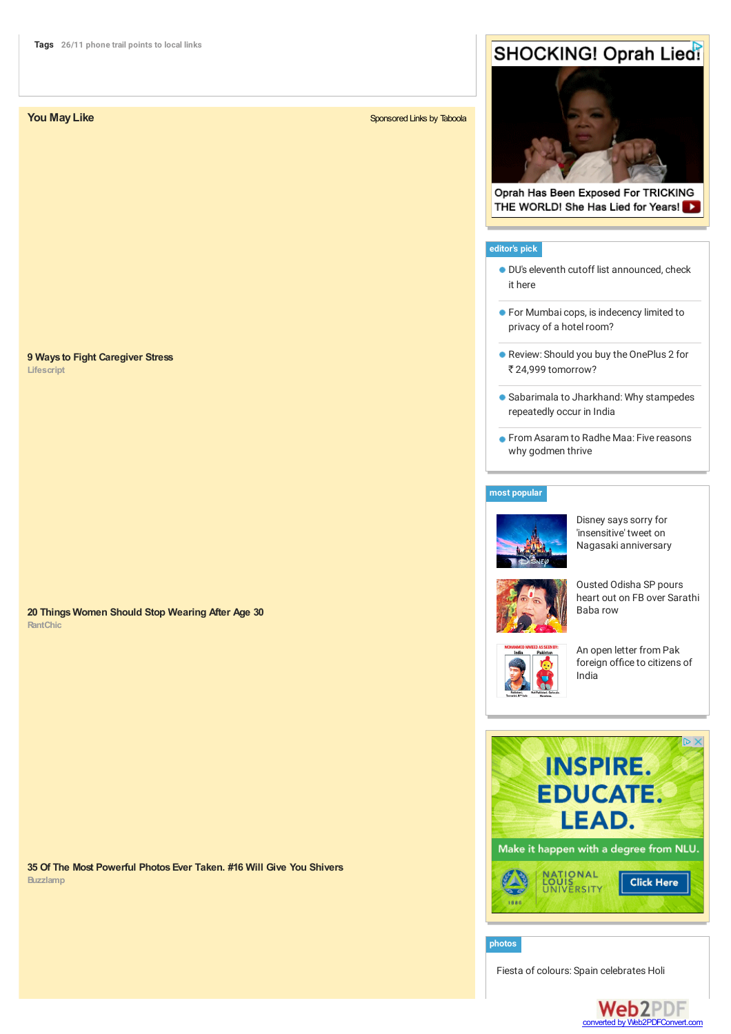### **9 Ways to Fight Caregiver Stress**

**Lifescript**

**RantChic 20 Things Women Should Stop Wearing After Age 30**

**Buzzlamp 35 Of The Most Powerful PhotosEver Taken. #16 Will Give You Shivers**

### **You May Like** [Sponsored](http://www.taboola.com/en/popup?template=colorbox&taboola_utm_source=hindustantimes&taboola_utm_medium=bytaboola&taboola_utm_content=thumbnails-a:Below Article Thumbnails:) Links by [Taboola](http://www.taboola.com/en/popup?template=colorbox&taboola_utm_source=hindustantimes&taboola_utm_medium=bytaboola&taboola_utm_content=thumbnails-a:Below Article Thumbnails:)

# **SHOCKING! Oprah Lied!**



Oprah Has Been Exposed For TRICKING THE WORLD! She Has Lied for Years!

### **[editor's](http://www.hindustantimes.com/homepage/homepage-ourpicks/lid.aspx) pick**

- DU's eleventh cutoff list [announced,](http://www.hindustantimes.com/higherstudies/delhi-university-s-11th-cutoff-list-is-out-check-it-out-here/article1-1378546.aspx) check it here
- **For Mumbai cops, is [indecency](http://www.hindustantimes.com/analysis/for-mumbai-cops-is-indecency-limited-to-privacy-of-a-hotel-room/article1-1378544.aspx) limited to** privacy of a hotel room?
- Review: Should you buy the OnePlus 2 for ₹ 24,999 [tomorrow?](http://www.hindustantimes.com/technology-topstories/review-the-oneplus-2-goes-on-sale-should-you-buy-it/article1-1378346.aspx)
- **Sabarimala to [Jharkhand:](http://www.hindustantimes.com/analysis/experts-explain-why-stampedes-occur-again-and-again-in-india/article1-1378484.aspx) Why stampedes** repeatedly occur in India
- **From [Asaram](http://www.hindustantimes.com/india-news/from-asaram-to-radhe-maa-five-reasons-why-godmen-thrive/article1-1378433.aspx) to Radhe Maa: Five reasons** why godmen thrive

### **most [popular](http://www.hindustantimes.com/mostview/chunk-ht-ui-mostviewedstories/lid.aspx)**



Disney says sorry for 'insensitive' tweet on Nagasaki [anniversary](http://www.hindustantimes.com/world-news/disney-says-sorry-for-insensitive-tweet-on-nagasaki-anniversary/article1-1378502.aspx)







An open letter from Pak foreign office to [citizens](http://www.hindustantimes.com/ashishshakya/an-open-letter-from-pak-foreign-office-to-citizens-of-india/article1-1378161.aspx) of India



**[photos](http://www.hindustantimes.com/photos-news/sid711.aspx)**

Fiesta of colours: Spain [celebrates](http://www.hindustantimes.com/photos/world/madridcelebratesholi/article4.aspx) Holi

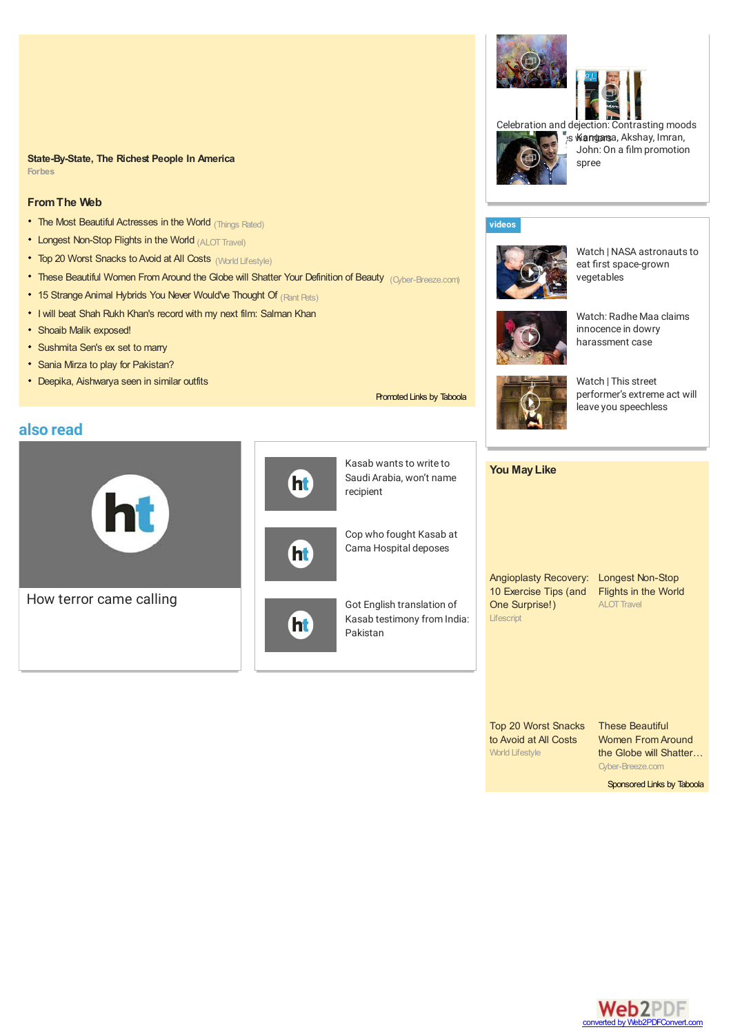### **Forbes State-By-State, The Richest People In America**

### **FromThe Web**

- The Most Beautiful [Actresses](http://thingsrated.com/2015/05/06/top-10-most-beautiful-actresses-in-the-world/?utm_source=taboola&utm_medium=hindustantimes&utm_campaign=Taboola_US_Desktop_Post_65) in the World (Things Rated)
- Longest [Non-Stop](http://travel.alot.com/themes/longest-non-stop-flights-in-the-world--8707?utm_source=Taboola&utm_medium=native&utm_content=8707_hd1_img1&utm_campaign=TB_8707) Flights in the World (ALOT Travel)
- Top 20 Worst Snacks to Avoid at All Costs (World Lifestyle)
- These Beautiful Women From Around the Globe will Shatter Your Definition of Beauty [\(Cyber-Breeze.com\)](http://cyber-breeze.com/beauty-from-around-the-globe/?utm_source=Taboola&utm_medium=referral&utm_campaign=Tab-IntBeuty-US-Des)
- 15 Strange Animal Hybrids You Never Would've Thought Of (Rant Pets)
- I will beat Shah Rukh Khan's record with my next film: [Salman](http://www.hindustantimes.com/television/i-will-beat-shah-rukh-khan-s-record-with-my-next-film-salman-khan/article1-1121190.aspx) Khan
- Shoaib Malik [exposed!](http://www.hindustantimes.com/archived-stories/shoaib-malik-exposed/article1-525395.aspx)
- [Sushmita](http://www.hindustantimes.com/tabloid/sushmita-sen-s-ex-set-to-marry/article1-837919.aspx) Sen's ex set to marry
- Sania Mirza to play for [Pakistan?](http://m.hindustantimes.com/archived-stories/sania-mirza-to-play-for-pakistan/article1-525734.aspx)
- Deepika, [Aishwarya](http://m.hindustantimes.com/tabloid/deepika-aishwarya-seen-in-similar-outfits/article1-769904.aspx) seen in similar outfits

## **also read**





(ht

ht



[Promoted](http://www.taboola.com/en/popup?template=colorbox&taboola_utm_source=hindustantimes&taboola_utm_medium=bytaboola&taboola_utm_content=hybrid-text-links-a:Below Article Text Links:) Links by [Taboola](http://www.taboola.com/en/popup?template=colorbox&taboola_utm_source=hindustantimes&taboola_utm_medium=bytaboola&taboola_utm_content=hybrid-text-links-a:Below Article Text Links:)

Cop who fought Kasab at Cama [Hospital](http://www.hindustantimes.com/archives/cop-who-fought-kasab-at-cama-hospital-deposes/article1-431069.aspx) deposes



**Lifescript** Angioplasty Recovery: Longest Non-Stop 10 Exercise Tips (and Flights in the World One Surprise!) ALOT Travel

World Lifestyle Top 20 Worst Snacks to Avoid at All Costs

Cyber-Breeze.com These Beautiful Women From Around the Globe will Shatter…

[Sponsored](http://www.taboola.com/en/popup?template=colorbox&taboola_utm_source=hindustantimes&taboola_utm_medium=bytaboola&taboola_utm_content=thumbnails-b:Right Rail Thumbnails:) Links by [Taboola](http://www.taboola.com/en/popup?template=colorbox&taboola_utm_source=hindustantimes&taboola_utm_medium=bytaboola&taboola_utm_content=thumbnails-b:Right Rail Thumbnails:)

converted by Web2PDFConvert.com

**Web2PDF** 



as **Wangarsa**, Akshay, Imran, John: On a film promotion spree

### **[videos](http://www.hindustantimes.com/audio-news-video/latest-news-video/lid812.aspx)**







Watch: Radhe Maa claims innocence in dowry [harassment](http://www.hindustantimes.com/audio-news-video/av-india/watch-radhe-maa-claims-innocence-in-dowry-harassment-case/article2-1378558.aspx) case



**You MayLike**

Watch | This street [performer's](http://www.hindustantimes.com/audio-news-video/av-world/watch-this-street-performer-s-extreme-act-will-leave-you-speechless/article2-1378525.aspx) extreme act will leave you speechless